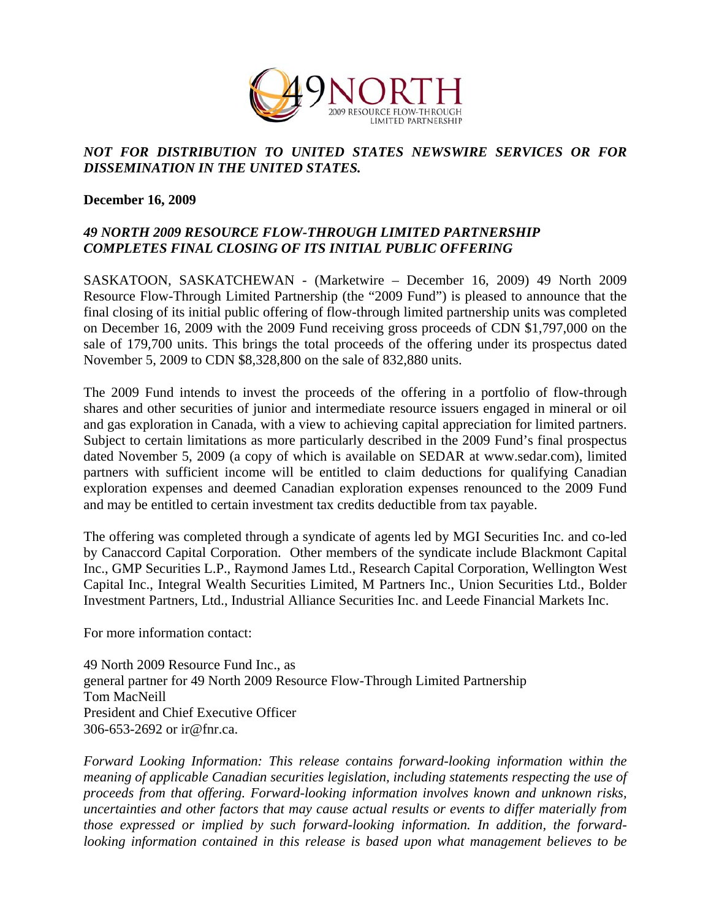

## *NOT FOR DISTRIBUTION TO UNITED STATES NEWSWIRE SERVICES OR FOR DISSEMINATION IN THE UNITED STATES.*

## **December 16, 2009**

## *49 NORTH 2009 RESOURCE FLOW-THROUGH LIMITED PARTNERSHIP COMPLETES FINAL CLOSING OF ITS INITIAL PUBLIC OFFERING*

SASKATOON, SASKATCHEWAN - (Marketwire – December 16, 2009) 49 North 2009 Resource Flow-Through Limited Partnership (the "2009 Fund") is pleased to announce that the final closing of its initial public offering of flow-through limited partnership units was completed on December 16, 2009 with the 2009 Fund receiving gross proceeds of CDN \$1,797,000 on the sale of 179,700 units. This brings the total proceeds of the offering under its prospectus dated November 5, 2009 to CDN \$8,328,800 on the sale of 832,880 units.

The 2009 Fund intends to invest the proceeds of the offering in a portfolio of flow-through shares and other securities of junior and intermediate resource issuers engaged in mineral or oil and gas exploration in Canada, with a view to achieving capital appreciation for limited partners. Subject to certain limitations as more particularly described in the 2009 Fund's final prospectus dated November 5, 2009 (a copy of which is available on SEDAR at www.sedar.com), limited partners with sufficient income will be entitled to claim deductions for qualifying Canadian exploration expenses and deemed Canadian exploration expenses renounced to the 2009 Fund and may be entitled to certain investment tax credits deductible from tax payable.

The offering was completed through a syndicate of agents led by MGI Securities Inc. and co-led by Canaccord Capital Corporation. Other members of the syndicate include Blackmont Capital Inc., GMP Securities L.P., Raymond James Ltd., Research Capital Corporation, Wellington West Capital Inc., Integral Wealth Securities Limited, M Partners Inc., Union Securities Ltd., Bolder Investment Partners, Ltd., Industrial Alliance Securities Inc. and Leede Financial Markets Inc.

For more information contact:

49 North 2009 Resource Fund Inc., as general partner for 49 North 2009 Resource Flow-Through Limited Partnership Tom MacNeill President and Chief Executive Officer 306-653-2692 or ir@fnr.ca.

*Forward Looking Information: This release contains forward-looking information within the meaning of applicable Canadian securities legislation, including statements respecting the use of proceeds from that offering. Forward-looking information involves known and unknown risks, uncertainties and other factors that may cause actual results or events to differ materially from those expressed or implied by such forward-looking information. In addition, the forwardlooking information contained in this release is based upon what management believes to be*